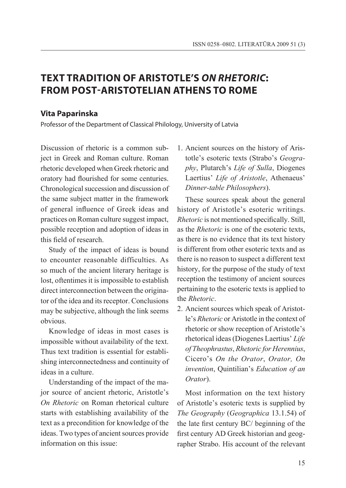# **TEXT TRADITION OF ARISTOTLE'S** *ON RHETORIC***: FROM POST-ARISTOTELIAN ATHENS TO ROME**

## **Vita Paparinska**

Professor of the Department of Classical Philology, University of Latvia

Discussion of rhetoric is a common subject in Greek and Roman culture. Roman rhetoric developed when Greek rhetoric and oratory had flourished for some centuries. Chronological succession and discussion of the same subject matter in the framework of general influence of Greek ideas and practices on Roman culture suggest impact, possible reception and adoption of ideas in this field of research.

Study of the impact of ideas is bound to encounter reasonable difficulties. As so much of the ancient literary heritage is lost, oftentimes it is impossible to establish direct interconnection between the originator of the idea and its receptor. Conclusions may be subjective, although the link seems obvious.

Knowledge of ideas in most cases is impossible without availability of the text. Thus text tradition is essential for establishing interconnectedness and continuity of ideas in a culture.

Understanding of the impact of the major source of ancient rhetoric, Aristotle's *On Rhetoric* on Roman rhetorical culture starts with establishing availability of the text as a precondition for knowledge of the ideas. Two types of ancient sources provide information on this issue:

1. Ancient sources on the history of Aristotle's esoteric texts (Strabo's *Geography*, Plutarch's *Life of Sulla*, Diogenes Laertius' *Life of Aristotle*, Athenaeus' *Dinner-table Philosophers*).

These sources speak about the general history of Aristotle's esoteric writings. *Rhetoric* is not mentioned specifically. Still, as the *Rhetoric* is one of the esoteric texts, as there is no evidence that its text history is different from other esoteric texts and as there is no reason to suspect a different text history, for the purpose of the study of text reception the testimony of ancient sources pertaining to the esoteric texts is applied to the *Rhetoric*.

2. Ancient sources which speak of Aristotle's *Rhetoric* or Aristotle in the context of rhetoric or show reception of Aristotle's rhetorical ideas (Diogenes Laertius' *Life of Theophrastus*, *Rhetoric for Herennius*, Cicero's *On the Orator*, *Orator, On invention*, Quintilian's *Education of an Orator*).

Most information on the text history of Aristotle's esoteric texts is supplied by *The Geography* (*Geographica* 13.1.54) of the late first century BC/ beginning of the first century AD Greek historian and geographer Strabo. His account of the relevant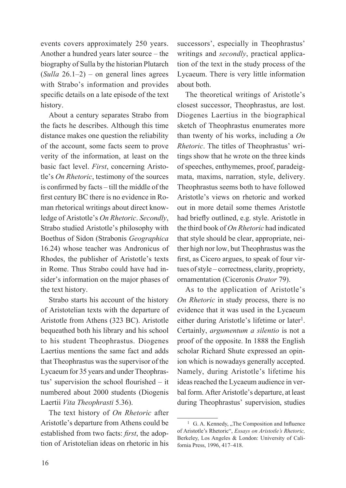events covers approximately 250 years. Another a hundred years later source – the biography of Sulla by the historian Plutarch (*Sulla* 26.1–2) – on general lines agrees with Strabo's information and provides specific details on a late episode of the text history.

About a century separates Strabo from the facts he describes. Although this time distance makes one question the reliability of the account, some facts seem to prove verity of the information, at least on the basic fact level. *First*, concerning Aristotle's *On Rhetoric*, testimony of the sources is confirmed by facts – till the middle of the first century BC there is no evidence in Roman rhetorical writings about direct knowledge of Aristotle's *On Rhetoric*. *Secondly*, Strabo studied Aristotle's philosophy with Boethus of Sidon (Strabonis *Geographica* 16.24) whose teacher was Andronicus of Rhodes, the publisher of Aristotle's texts in Rome. Thus Strabo could have had insider's information on the major phases of the text history.

Strabo starts his account of the history of Aristotelian texts with the departure of Aristotle from Athens (323 BC). Aristotle bequeathed both his library and his school to his student Theophrastus. Diogenes Laertius mentions the same fact and adds that Theophrastus was the supervisor of the Lycaeum for 35 years and under Theophrastus' supervision the school flourished – it numbered about 2000 students (Diogenis Laertii *Vita Theophrasti* 5.36).

The text history of *On Rhetoric* after Aristotle's departure from Athens could be established from two facts: *first*, the adoption of Aristotelian ideas on rhetoric in his successors', especially in Theophrastus' writings and *secondly*, practical application of the text in the study process of the Lycaeum. There is very little information about both.

The theoretical writings of Aristotle's closest successor, Theophrastus, are lost. Diogenes Laertius in the biographical sketch of Theophrastus enumerates more than twenty of his works, including a *On Rhetoric*. The titles of Theophrastus' writings show that he wrote on the three kinds of speeches, enthymemes, proof, paradeigmata, maxims, narration, style, delivery. Theophrastus seems both to have followed Aristotle's views on rhetoric and worked out in more detail some themes Aristotle had briefly outlined, e.g. style. Aristotle in the third book of *On Rhetoric* had indicated that style should be clear, appropriate, neither high nor low, but Theophrastus was the first, as Cicero argues, to speak of four virtues of style – correctness, clarity, propriety, ornamentation (Ciceronis *Orator* 79).

As to the application of Aristotle's *On Rhetoric* in study process, there is no evidence that it was used in the Lycaeum either during Aristotle's lifetime or later<sup>1</sup>. Certainly, *argumentum a silentio* is not a proof of the opposite. In 1888 the English scholar Richard Shute expressed an opinion which is nowadays generally accepted. Namely, during Aristotle's lifetime his ideas reached the Lycaeum audience in verbal form. After Aristotle's departure, at least during Theophrastus' supervision, studies

 $1$  G. A. Kennedy, "The Composition and Influence of Aristotle's Rhetoric", *Essays on Aristotle's Rhetoric,*  Berkeley, Los Angeles & London: University of California Press, 1996, 417–418.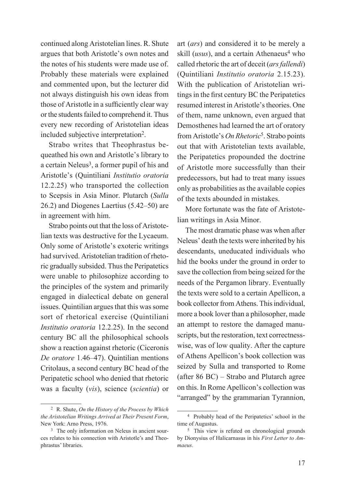continued along Aristotelian lines. R. Shute argues that both Aristotle's own notes and the notes of his students were made use of. Probably these materials were explained and commented upon, but the lecturer did not always distinguish his own ideas from those of Aristotle in a sufficiently clear way or the students failed to comprehend it. Thus every new recording of Aristotelian ideas included subjective interpretation2.

Strabo writes that Theophrastus bequeathed his own and Aristotle's library to a certain Neleus<sup>3</sup>, a former pupil of his and Aristotle's (Quintiliani *Institutio oratoria*  12.2.25) who transported the collection to Scepsis in Asia Minor. Plutarch (*Sulla* 26.2) and Diogenes Laertius (5.42–50) are in agreement with him.

Strabo points out that the loss of Aristotelian texts was destructive for the Lycaeum. Only some of Aristotle's exoteric writings had survived. Aristotelian tradition of rhetoric gradually subsided. Thus the Peripatetics were unable to philosophize according to the principles of the system and primarily engaged in dialectical debate on general issues. Quintilian argues that this was some sort of rhetorical exercise (Quintiliani *Institutio oratoria* 12.2.25). In the second century BC all the philosophical schools show a reaction against rhetoric (Ciceronis *De oratore* 1.46–47). Quintilian mentions Critolaus, a second century BC head of the Peripatetic school who denied that rhetoric was a faculty (*vis*), science (*scientia*) or

art (*ars*) and considered it to be merely a skill  $(usus)$ , and a certain Athenaeus<sup>4</sup> who called rhetoric the art of deceit (*ars fallendi*) (Quintiliani *Institutio oratoria* 2.15.23). With the publication of Aristotelian writings in the first century BC the Peripatetics resumed interest in Aristotle's theories. One of them, name unknown, even argued that Demosthenes had learned the art of oratory from Aristotle's *On Rhetoric*5. Strabo points out that with Aristotelian texts available, the Peripatetics propounded the doctrine of Aristotle more successfully than their predecessors, but had to treat many issues only as probabilities as the available copies of the texts abounded in mistakes.

More fortunate was the fate of Aristotelian writings in Asia Minor.

The most dramatic phase was when after Neleus' death the texts were inherited by his descendants, uneducated individuals who hid the books under the ground in order to save the collection from being seized for the needs of the Pergamon library. Eventually the texts were sold to a certain Apellicon, a book collector from Athens. This individual, more a book lover than a philosopher, made an attempt to restore the damaged manuscripts, but the restoration, text correctnesswise, was of low quality. After the capture of Athens Apellicon's book collection was seized by Sulla and transported to Rome (after 86 BC) – Strabo and Plutarch agree on this. In Rome Apellicon's collection was "arranged" by the grammarian Tyrannion,

<sup>2</sup> R. Shute, *On the History of the Process by Which the Aristotelian Writings Arrived at Their Present Form*, New York: Arno Press, 1976.<br><sup>3</sup> The only information on Neleus in ancient sour-

ces relates to his connection with Aristotle's and Theophrastus' libraries.

<sup>4</sup> Probably head of the Peripatetics' school in the time of Augustus.

<sup>5</sup> This view is refuted on chronological grounds by Dionysius of Halicarnasus in his *First Letter to Ammaeus*.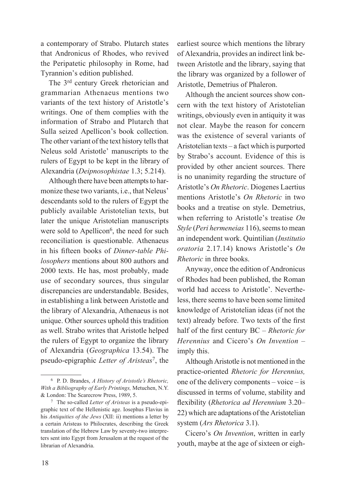a contemporary of Strabo. Plutarch states that Andronicus of Rhodes, who revived the Peripatetic philosophy in Rome, had Tyrannion's edition published.

The 3rd century Greek rhetorician and grammarian Athenaeus mentions two variants of the text history of Aristotle's writings. One of them complies with the information of Strabo and Plutarch that Sulla seized Apellicon's book collection. The other variant of the text history tells that Neleus sold Aristotle' manuscripts to the rulers of Egypt to be kept in the library of Alexandria (*Deipnosophistae* 1.3; 5.214).

Although there have been attempts to harmonize these two variants, i.e., that Neleus' descendants sold to the rulers of Egypt the publicly available Aristotelian texts, but later the unique Aristotelian manuscripts were sold to Apellicon<sup>6</sup>, the need for such reconciliation is questionable. Athenaeus in his fifteen books of *Dinner-table Philosophers* mentions about 800 authors and 2000 texts. He has, most probably, made use of secondary sources, thus singular discrepancies are understandable. Besides, in establishing a link between Aristotle and the library of Alexandria, Athenaeus is not unique. Other sources uphold this tradition as well. Strabo writes that Aristotle helped the rulers of Egypt to organize the library of Alexandria (*Geographica* 13.54). The pseudo-epigraphic *Letter of Aristeas*7, the earliest source which mentions the library of Alexandria, provides an indirect link between Aristotle and the library, saying that the library was organized by a follower of Aristotle, Demetrius of Phaleron.

Although the ancient sources show concern with the text history of Aristotelian writings, obviously even in antiquity it was not clear. Maybe the reason for concern was the existence of several variants of Aristotelian texts – a fact which is purported by Strabo's account. Evidence of this is provided by other ancient sources. There is no unanimity regarding the structure of Aristotle's *On Rhetoric*. Diogenes Laertius mentions Aristotle's *On Rhetoric* in two books and a treatise on style. Demetrius, when referring to Aristotle's treatise *On Style* (*Peri hermeneias* 116), seems to mean an independent work. Quintilian (*Institutio oratoria* 2.17.14) knows Aristotle's *On Rhetoric* in three books.

Anyway, once the edition of Andronicus of Rhodes had been published, the Roman world had access to Aristotle'. Nevertheless, there seems to have been some limited knowledge of Aristotelian ideas (if not the text) already before. Two texts of the first half of the first century BC – *Rhetoric for Herennius* and Cicero's *On Invention* – imply this.

Although Aristotle is not mentioned in the practice-oriented *Rhetoric for Herennius,*  one of the delivery components – voice – is discussed in terms of volume, stability and flexibility (*Rhetorica ad Herennium* 3.20– 22) which are adaptations of the Aristotelian system (*Ars Rhetorica* 3.1).

Cicero's *On Invention*, written in early youth, maybe at the age of sixteen or eigh-

<sup>6</sup> P. D. Brandes, *A History of Aristotle's Rhetoric, With a Bibliography of Early Printings,* Metuchen, N.Y. & London: The Scarecrow Press, 1989, 5. 7 The so-called *Letter of Aristeas* is a pseudo-epi-

graphic text of the Hellenistic age. Iosephus Flavius in his *Antiquities of the Jews* (XII: ii) mentions a letter by a certain Aristeas to Philocrates, describing the Greek translation of the Hebrew Law by seventy-two interpreters sent into Egypt from Jerusalem at the request of the librarian of Alexandria.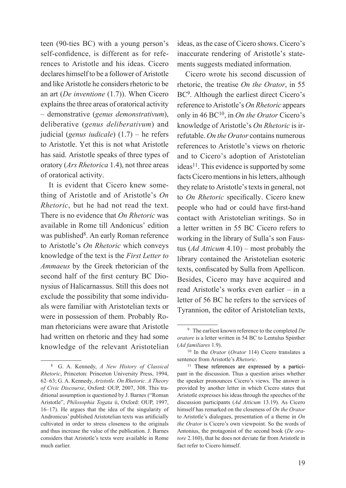teen (90-ties BC) with a young person's self-confidence, is different as for references to Aristotle and his ideas. Cicero declares himself to be a follower of Aristotle and like Aristotle he considers rhetoric to be an art (*De inventione* (1.7)). When Cicero explains the three areas of oratorical activity – demonstrative (*genus demonstrativum*), deliberative (*genus deliberativum*) and judicial (*genus iudicale*) (1.7) – he refers to Aristotle. Yet this is not what Aristotle has said. Aristotle speaks of three types of oratory (*Ars Rhetorica* 1.4), not three areas of oratorical activity.

It is evident that Cicero knew something of Aristotle and of Aristotle's *On Rhetoric*, but he had not read the text. There is no evidence that *On Rhetoric* was available in Rome till Andonicus' edition was published<sup>8</sup>. An early Roman reference to Aristotle's *On Rhetoric* which conveys knowledge of the text is the *First Letter to Ammaeus* by the Greek rhetorician of the second half of the first century BC Dionysius of Halicarnassus. Still this does not exclude the possibility that some individuals were familiar with Aristotelian texts or were in possession of them. Probably Roman rhetoricians were aware that Aristotle had written on rhetoric and they had some knowledge of the relevant Aristotelian ideas, as the case of Cicero shows. Cicero's inaccurate rendering of Aristotle's statements suggests mediated information.

Cicero wrote his second discussion of rhetoric, the treatise *On the Orator*, in 55 BC<sup>9</sup>. Although the earliest direct Cicero's reference to Aristotle's *On Rhetoric* appears only in 46 BC10, in *On the Orator* Cicero's knowledge of Aristotle's *On Rhetoric* is irrefutable. *On the Orator* contains numerous references to Aristotle's views on rhetoric and to Cicero's adoption of Aristotelian ideas<sup>11</sup>. This evidence is supported by some facts Cicero mentions in his letters, although they relate to Aristotle's texts in general, not to *On Rhetoric* specifically. Cicero knew people who had or could have first-hand contact with Aristotelian writings. So in a letter written in 55 BC Cicero refers to working in the library of Sulla's son Faustus (*Ad Atticum* 4.10) – most probably the library contained the Aristotelian esoteric texts, confiscated by Sulla from Apellicon. Besides, Cicero may have acquired and read Aristotle's works even earlier – in a letter of 56 BC he refers to the services of Tyrannion, the editor of Aristotelian texts,

<sup>8</sup> G. A. Kennedy, *A New History of Classical Rhetoric*, Princeton: Princeton University Press, 1994, 62–63; G. A. Kennedy, *Aristotle. On Rhetoric. A Theory of Civic Discourse*, Oxford: OUP, 2007, 308. This traditional assumption is questioned by J. Barnes ("Roman Aristotle", *Philosophia Togata* ii, Oxford: OUP, 1997, 16–17). He argues that the idea of the singularity of Andronicus' published Aristotelian texts was artificially cultivated in order to stress closeness to the originals and thus increase the value of the publication. J. Barnes considers that Aristotle's texts were available in Rome much earlier.

<sup>9</sup> The earliest known reference to the completed *De oratore* is a letter written in 54 BC to Lentulus Spinther (*Ad familiares* 1.9).

<sup>10</sup> In the *Orator* (*Orator* 114) Cicero translates a sentence from Aristotle's *Rhetoric*.

<sup>11</sup> These references are expressed by a participant in the discussion. Thus a question arises whether the speaker pronounces Cicero's views. The answer is provided by another letter in which Cicero states that Aristotle expresses his ideas through the speeches of the discussion participants (*Ad Atticum* 13.19). As Cicero himself has remarked on the closeness of *On the Orator* to Aristotle's dialogues, presentation of a theme in *On the Orator* is Cicero's own viewpoint. So the words of Antonius, the protagonist of the second book (*De oratore* 2.160), that he does not deviate far from Aristotle in fact refer to Cicero himself.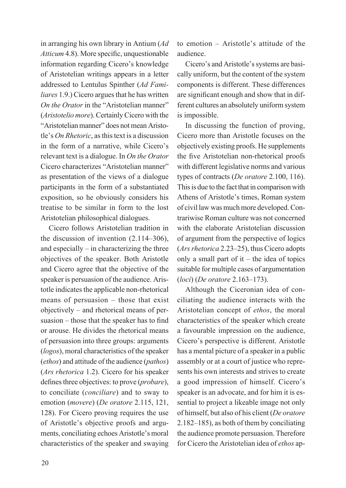in arranging his own library in Antium (*Ad Atticum* 4.8). More specific, unquestionable information regarding Cicero's knowledge of Aristotelian writings appears in a letter addressed to Lentulus Spinther (*Ad Familiares* 1.9.) Cicero argues that he has written *On the Orator* in the "Aristotelian manner" (*Aristotelio more*). Certainly Cicero with the "Aristotelian manner" does not mean Aristotle's *On Rhetoric*, as this text is a discussion in the form of a narrative, while Cicero's relevant text is a dialogue. In *On the Orator* Cicero characterizes "Aristotelian manner" as presentation of the views of a dialogue participants in the form of a substantiated exposition, so he obviously considers his treatise to be similar in form to the lost Aristotelian philosophical dialogues.

Cicero follows Aristotelian tradition in the discussion of invention (2.114–306), and especially – in characterizing the three objectives of the speaker. Both Aristotle and Cicero agree that the objective of the speaker is persuasion of the audience. Aristotle indicates the applicable non-rhetorical means of persuasion – those that exist objectively – and rhetorical means of persuasion – those that the speaker has to find or arouse. He divides the rhetorical means of persuasion into three groups: arguments (*logos*), moral characteristics of the speaker (*ethos*) and attitude of the audience (*pathos*) (*Ars rhetorica* 1.2). Cicero for his speaker defines three objectives: to prove (*probare*), to conciliate (*conciliare*) and to sway to emotion (*movere*) (*De oratore* 2.115, 121, 128). For Cicero proving requires the use of Aristotle's objective proofs and arguments, conciliating echoes Aristotle's moral characteristics of the speaker and swaying to emotion – Aristotle's attitude of the audience.

Cicero's and Aristotle's systems are basically uniform, but the content of the system components is different. These differences are significant enough and show that in different cultures an absolutely uniform system is impossible.

In discussing the function of proving, Cicero more than Aristotle focuses on the objectively existing proofs. He supplements the five Aristotelian non-rhetorical proofs with different legislative norms and various types of contracts (*De oratore* 2.100, 116). This is due to the fact that in comparison with Athens of Aristotle's times, Roman system of civil law was much more developed. Contrariwise Roman culture was not concerned with the elaborate Aristotelian discussion of argument from the perspective of logics (*Ars rhetorica* 2.23–25), thus Cicero adopts only a small part of it – the idea of topics suitable for multiple cases of argumentation (*loci*) (*De oratore* 2.163–173).

Although the Ciceronian idea of conciliating the audience interacts with the Aristotelian concept of *ethos*, the moral characteristics of the speaker which create a favourable impression on the audience, Cicero's perspective is different. Aristotle has a mental picture of a speaker in a public assembly or at a court of justice who represents his own interests and strives to create a good impression of himself. Cicero's speaker is an advocate, and for him it is essential to project a likeable image not only of himself, but also of his client (*De oratore* 2.182–185), as both of them by conciliating the audience promote persuasion. Therefore for Cicero the Aristotelian idea of *ethos* ap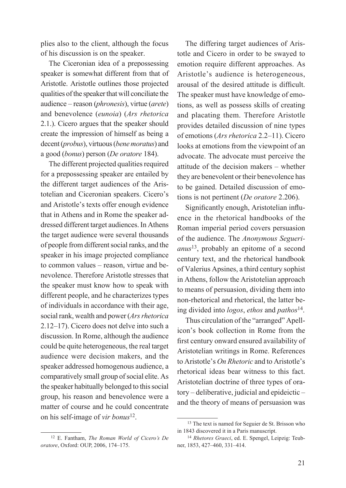plies also to the client, although the focus of his discussion is on the speaker.

The Ciceronian idea of a prepossessing speaker is somewhat different from that of Aristotle. Aristotle outlines those projected qualities of the speaker that will conciliate the audience – reason (*phronesis*), virtue (*arete*) and benevolence (*eunoia*) (*Ars rhetorica* 2.1.). Cicero argues that the speaker should create the impression of himself as being a decent (*probus*), virtuous (*bene moratus*) and a good (*bonus*) person (*De oratore* 184).

The different projected qualities required for a prepossessing speaker are entailed by the different target audiences of the Aristotelian and Ciceronian speakers. Cicero's and Aristotle's texts offer enough evidence that in Athens and in Rome the speaker addressed different target audiences. In Athens the target audience were several thousands of people from different social ranks, and the speaker in his image projected compliance to common values – reason, virtue and benevolence. Therefore Aristotle stresses that the speaker must know how to speak with different people, and he characterizes types of individuals in accordance with their age, social rank, wealth and power (*Ars rhetorica* 2.12–17). Cicero does not delve into such a discussion. In Rome, although the audience could be quite heterogeneous, the real target audience were decision makers, and the speaker addressed homogenous audience, a comparatively small group of social elite. As the speaker habitually belonged to this social group, his reason and benevolence were a matter of course and he could concentrate on his self-image of *vir bonus*<sup>12</sup>.

12 E. Fantham, *The Roman World of Cicero's De oratore*, Oxford: OUP, 2006, 174–175.

The differing target audiences of Aristotle and Cicero in order to be swayed to emotion require different approaches. As Aristotle's audience is heterogeneous, arousal of the desired attitude is difficult. The speaker must have knowledge of emotions, as well as possess skills of creating and placating them. Therefore Aristotle provides detailed discussion of nine types of emotions (*Ars rhetorica* 2.2–11). Cicero looks at emotions from the viewpoint of an advocate. The advocate must perceive the attitude of the decision makers – whether they are benevolent or their benevolence has to be gained. Detailed discussion of emotions is not pertinent (*De oratore* 2.206).

Significantly enough, Aristotelian influence in the rhetorical handbooks of the Roman imperial period covers persuasion of the audience. The *Anonymous Seguerianus*13, probably an epitome of a second century text, and the rhetorical handbook of Valerius Apsines, a third century sophist in Athens, follow the Aristotelian approach to means of persuasion, dividing them into non-rhetorical and rhetorical, the latter being divided into *logos*, *ethos* and *pathos*14.

Thus circulation of the "arranged" Apellicon's book collection in Rome from the first century onward ensured availability of Aristotelian writings in Rome. References to Aristotle's *On Rhetoric* and to Aristotle's rhetorical ideas bear witness to this fact. Aristotelian doctrine of three types of oratory – deliberative, judicial and epideictic – and the theory of means of persuasion was

<sup>13</sup> The text is named for Seguier de St. Brisson who in 1843 discovered it in a Paris manuscript.

<sup>14</sup> *Rhetores Graeci*, ed. E. Spengel, Leipzig: Teubner, 1853, 427–460, 331–414.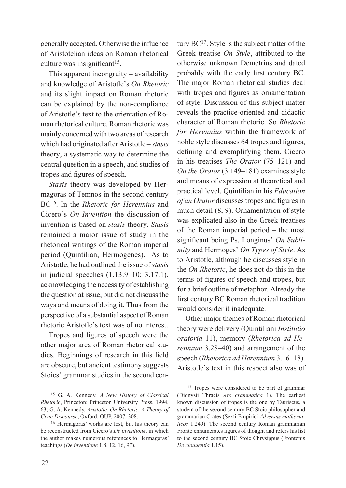generally accepted. Otherwise the influence of Aristotelian ideas on Roman rhetorical culture was insignificant<sup>15</sup>.

This apparent incongruity – availability and knowledge of Aristotle's *On Rhetoric* and its slight impact on Roman rhetoric can be explained by the non-compliance of Aristotle's text to the orientation of Roman rhetorical culture. Roman rhetoric was mainly concerned with two areas of research which had originated after Aristotle – *stasis* theory, a systematic way to determine the central question in a speech, and studies of tropes and figures of speech.

*Stasis* theory was developed by Hermagoras of Temnos in the second century BC16. In the *Rhetoric for Herennius* and Cicero's *On Invention* the discussion of invention is based on *stasis* theory. *Stasis*  remained a major issue of study in the rhetorical writings of the Roman imperial period (Quintilian, Hermogenes). As to Aristotle, he had outlined the issue of *stasis* in judicial speeches (1.13.9–10; 3.17.1), acknowledging the necessity of establishing the question at issue, but did not discuss the ways and means of doing it. Thus from the perspective of a substantial aspect of Roman rhetoric Aristotle's text was of no interest.

Tropes and figures of speech were the other major area of Roman rhetorical studies. Beginnings of research in this field are obscure, but ancient testimony suggests Stoics' grammar studies in the second cen-

tury  $BC^{17}$ . Style is the subject matter of the Greek treatise *On Style*, attributed to the otherwise unknown Demetrius and dated probably with the early first century BC. The major Roman rhetorical studies deal with tropes and figures as ornamentation of style. Discussion of this subject matter reveals the practice-oriented and didactic character of Roman rhetoric. So *Rhetoric for Herennius* within the framework of noble style discusses 64 tropes and figures, defining and exemplifying them. Cicero in his treatises *The Orator* (75–121) and *On the Orator* (3.149–181) examines style and means of expression at theoretical and practical level. Quintilian in his *Education of an Orator* discusses tropes and figures in much detail (8, 9). Ornamentation of style was explicated also in the Greek treatises of the Roman imperial period – the most significant being Ps. Longinus' *On Sublimity* and Hermoges' *On Types of Style*. As to Aristotle, although he discusses style in the *On Rhetoric*, he does not do this in the terms of figures of speech and tropes, but for a brief outline of metaphor. Already the first century BC Roman rhetorical tradition would consider it inadequate.

Other major themes of Roman rhetorical theory were delivery (Quintiliani *Institutio oratoria* 11), memory (*Rhetorica ad Herennium* 3.28–40) and arrangement of the speech (*Rhetorica ad Herennium* 3.16–18). Aristotle's text in this respect also was of

<sup>15</sup> G. A. Kennedy, *A New History of Classical Rhetoric*, Princeton: Princeton University Press, 1994, 63; G. A. Kennedy, *Aristotle. On Rhetoric. A Theory of Civic Discourse*, Oxford: OUP, 2007, 308.<br><sup>16</sup> Hermagoras' works are lost, but his theory can

be reconstructed from Cicero's *De inventione*, in which the author makes numerous references to Hermagoras' teachings (*De inventione* 1.8, 12, 16, 97).

<sup>&</sup>lt;sup>17</sup> Tropes were considered to be part of grammar (Dionysii Thracis *Ars grammatica* 1). The earliest known discussion of tropes is the one by Tauriscus, a student of the second century BC Stoic philosopher and grammarian Crates (Sexti Empirici *Adversus mathematicos* 1.249). The second century Roman grammarian Fronto ennumerates figures of thought and refers his list to the second century BC Stoic Chrysippus (Frontonis *De eloquentia* 1.15).